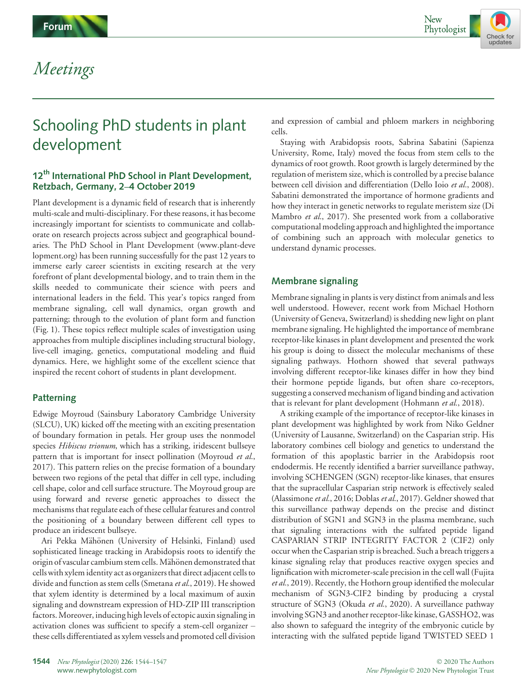

# Meetings

# Schooling PhD students in plant development

# 12<sup>th</sup> International PhD School in Plant Development, Retzbach, Germany, 2–4 October 2019

Plant development is a dynamic field of research that is inherently multi-scale and multi-disciplinary. For these reasons, it has become increasingly important for scientists to communicate and collaborate on research projects across subject and geographical boundaries. The PhD School in Plant Development [\(www.plant-deve](http://www.plant-development.org) [lopment.org\)](http://www.plant-development.org) has been running successfully for the past 12 years to immerse early career scientists in exciting research at the very forefront of plant developmental biology, and to train them in the skills needed to communicate their science with peers and international leaders in the field. This year's topics ranged from membrane signaling, cell wall dynamics, organ growth and patterning; through to the evolution of plant form and function (Fig. 1). These topics reflect multiple scales of investigation using approaches from multiple disciplines including structural biology, live-cell imaging, genetics, computational modeling and fluid dynamics. Here, we highlight some of the excellent science that inspired the recent cohort of students in plant development.

## **Patterning**

Edwige Moyroud (Sainsbury Laboratory Cambridge University (SLCU), UK) kicked off the meeting with an exciting presentation of boundary formation in petals. Her group uses the nonmodel species Hibiscus trionum, which has a striking, iridescent bullseye pattern that is important for insect pollination (Moyroud et al., 2017). This pattern relies on the precise formation of a boundary between two regions of the petal that differ in cell type, including cell shape, color and cell surface structure. The Moyroud group are using forward and reverse genetic approaches to dissect the mechanisms that regulate each of these cellular features and control the positioning of a boundary between different cell types to produce an iridescent bullseye.

Ari Pekka Mähönen (University of Helsinki, Finland) used sophisticated lineage tracking in Arabidopsis roots to identify the origin of vascular cambium stem cells. Mähönen demonstrated that cells with xylem identity act as organizers that direct adjacent cells to divide and function as stem cells (Smetana et al., 2019). He showed that xylem identity is determined by a local maximum of auxin signaling and downstream expression of HD-ZIP III transcription factors.Moreover, inducing high levels of ectopic auxin signaling in activation clones was sufficient to specify a stem-cell organizer – these cells differentiated as xylem vessels and promoted cell division

and expression of cambial and phloem markers in neighboring cells.

Staying with Arabidopsis roots, Sabrina Sabatini (Sapienza University, Rome, Italy) moved the focus from stem cells to the dynamics of root growth. Root growth is largely determined by the regulation of meristem size, which is controlled by a precise balance between cell division and differentiation (Dello Ioio et al., 2008). Sabatini demonstrated the importance of hormone gradients and how they interact in genetic networks to regulate meristem size (Di Mambro et al., 2017). She presented work from a collaborative computational modeling approach and highlighted the importance of combining such an approach with molecular genetics to understand dynamic processes.

## Membrane signaling

Membrane signaling in plants is very distinct from animals and less well understood. However, recent work from Michael Hothorn (University of Geneva, Switzerland) is shedding new light on plant membrane signaling. He highlighted the importance of membrane receptor-like kinases in plant development and presented the work his group is doing to dissect the molecular mechanisms of these signaling pathways. Hothorn showed that several pathways involving different receptor-like kinases differ in how they bind their hormone peptide ligands, but often share co-receptors, suggesting a conserved mechanism of ligand binding and activation that is relevant for plant development (Hohmann et al., 2018).

A striking example of the importance of receptor-like kinases in plant development was highlighted by work from Niko Geldner (University of Lausanne, Switzerland) on the Casparian strip. His laboratory combines cell biology and genetics to understand the formation of this apoplastic barrier in the Arabidopsis root endodermis. He recently identified a barrier surveillance pathway, involving SCHENGEN (SGN) receptor-like kinases, that ensures that the supracellular Casparian strip network is effectively sealed (Alassimone et al., 2016; Doblas et al., 2017). Geldner showed that this surveillance pathway depends on the precise and distinct distribution of SGN1 and SGN3 in the plasma membrane, such that signaling interactions with the sulfated peptide ligand CASPARIAN STRIP INTEGRITY FACTOR 2 (CIF2) only occur when the Casparian strip is breached. Such a breach triggers a kinase signaling relay that produces reactive oxygen species and lignification with micrometer-scale precision in the cell wall (Fujita et al., 2019). Recently, the Hothorn group identified the molecular mechanism of SGN3-CIF2 binding by producing a crystal structure of SGN3 (Okuda et al., 2020). A surveillance pathway involving SGN3 and another receptor-like kinase, GASSHO2, was also shown to safeguard the integrity of the embryonic cuticle by interacting with the sulfated peptide ligand TWISTED SEED 1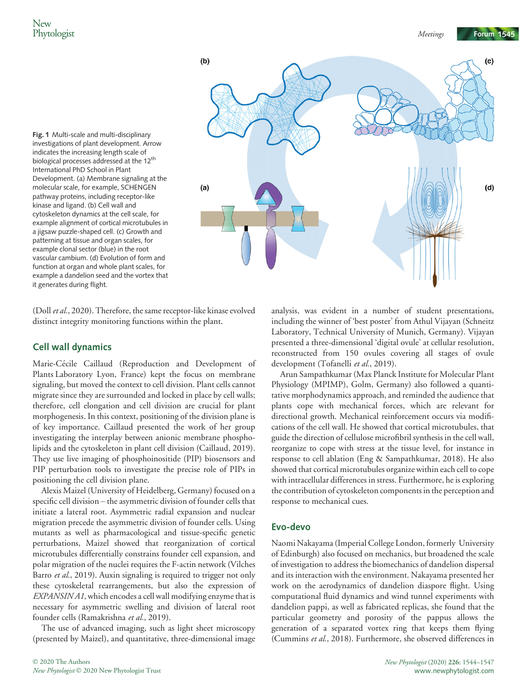Fig. 1 Multi-scale and multi-disciplinary investigations of plant development. Arrow indicates the increasing length scale of biological processes addressed at the 12<sup>th</sup> International PhD School in Plant Development. (a) Membrane signaling at the molecular scale, for example, SCHENGEN pathway proteins, including receptor-like kinase and ligand. (b) Cell wall and cytoskeleton dynamics at the cell scale, for example alignment of cortical microtubules in a jigsaw puzzle-shaped cell. (c) Growth and patterning at tissue and organ scales, for example clonal sector (blue) in the root vascular cambium. (d) Evolution of form and function at organ and whole plant scales, for example a dandelion seed and the vortex that it generates during flight.



(Doll et al., 2020). Therefore, the same receptor-like kinase evolved distinct integrity monitoring functions within the plant.

## Cell wall dynamics

Marie-Cécile Caillaud (Reproduction and Development of Plants Laboratory Lyon, France) kept the focus on membrane signaling, but moved the context to cell division. Plant cells cannot migrate since they are surrounded and locked in place by cell walls; therefore, cell elongation and cell division are crucial for plant morphogenesis. In this context, positioning of the division plane is of key importance. Caillaud presented the work of her group investigating the interplay between anionic membrane phospholipids and the cytoskeleton in plant cell division (Caillaud, 2019). They use live imaging of phosphoinositide (PIP) biosensors and PIP perturbation tools to investigate the precise role of PIPs in positioning the cell division plane.

Alexis Maizel (University of Heidelberg, Germany) focused on a specific cell division – the asymmetric division of founder cells that initiate a lateral root. Asymmetric radial expansion and nuclear migration precede the asymmetric division of founder cells. Using mutants as well as pharmacological and tissue-specific genetic perturbations, Maizel showed that reorganization of cortical microtubules differentially constrains founder cell expansion, and polar migration of the nuclei requires the F-actin network (Vilches Barro et al., 2019). Auxin signaling is required to trigger not only these cytoskeletal rearrangements, but also the expression of EXPANSIN A1, which encodes a cell wall modifying enzyme that is necessary for asymmetric swelling and division of lateral root founder cells (Ramakrishna et al., 2019).

The use of advanced imaging, such as light sheet microscopy (presented by Maizel), and quantitative, three-dimensional image

analysis, was evident in a number of student presentations, including the winner of 'best poster' from Athul Vijayan (Schneitz Laboratory, Technical University of Munich, Germany). Vijayan presented a three-dimensional 'digital ovule' at cellular resolution, reconstructed from 150 ovules covering all stages of ovule development (Tofanelli et al., 2019).

Arun Sampathkumar (Max Planck Institute for Molecular Plant Physiology (MPIMP), Golm, Germany) also followed a quantitative morphodynamics approach, and reminded the audience that plants cope with mechanical forces, which are relevant for directional growth. Mechanical reinforcement occurs via modifications of the cell wall. He showed that cortical microtubules, that guide the direction of cellulose microfibril synthesis in the cell wall, reorganize to cope with stress at the tissue level, for instance in response to cell ablation (Eng & Sampathkumar, 2018). He also showed that cortical microtubules organize within each cell to cope with intracellular differences in stress. Furthermore, he is exploring the contribution of cytoskeleton components in the perception and response to mechanical cues.

### Evo-devo

Naomi Nakayama (Imperial College London, formerly University of Edinburgh) also focused on mechanics, but broadened the scale of investigation to address the biomechanics of dandelion dispersal and its interaction with the environment. Nakayama presented her work on the aerodynamics of dandelion diaspore flight. Using computational fluid dynamics and wind tunnel experiments with dandelion pappi, as well as fabricated replicas, she found that the particular geometry and porosity of the pappus allows the generation of a separated vortex ring that keeps them flying (Cummins et al., 2018). Furthermore, she observed differences in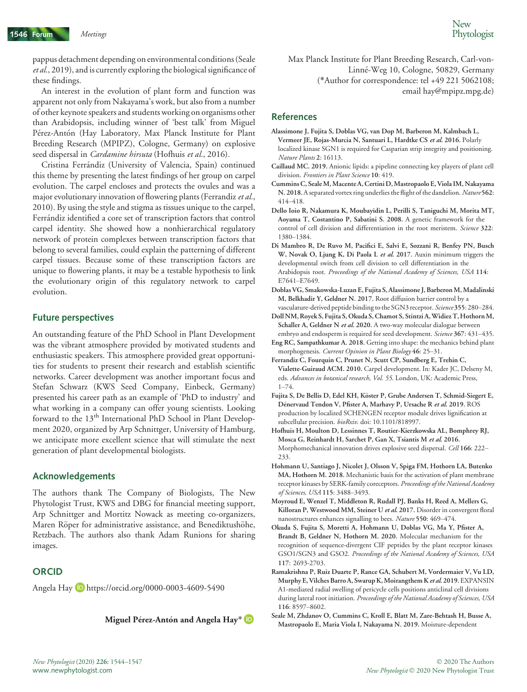pappus detachment depending on environmental conditions (Seale et al., 2019), and is currently exploring the biological significance of these findings.

An interest in the evolution of plant form and function was apparent not only from Nakayama's work, but also from a number of other keynote speakers and students working on organisms other than Arabidopsis, including winner of 'best talk' from Miguel Pérez-Antón (Hay Laboratory, Max Planck Institute for Plant Breeding Research (MPIPZ), Cologne, Germany) on explosive seed dispersal in *Cardamine hirsuta* (Hofhuis et al., 2016).

Cristina Ferrándiz (University of Valencia, Spain) continued this theme by presenting the latest findings of her group on carpel evolution. The carpel encloses and protects the ovules and was a major evolutionary innovation of flowering plants (Ferrandiz et al., 2010). By using the style and stigma as tissues unique to the carpel, Ferrándiz identified a core set of transcription factors that control carpel identity. She showed how a nonhierarchical regulatory network of protein complexes between transcription factors that belong to several families, could explain the patterning of different carpel tissues. Because some of these transcription factors are unique to flowering plants, it may be a testable hypothesis to link the evolutionary origin of this regulatory network to carpel evolution.

#### Future perspectives

An outstanding feature of the PhD School in Plant Development was the vibrant atmosphere provided by motivated students and enthusiastic speakers. This atmosphere provided great opportunities for students to present their research and establish scientific networks. Career development was another important focus and Stefan Schwarz (KWS Seed Company, Einbeck, Germany) presented his career path as an example of 'PhD to industry' and what working in a company can offer young scientists. Looking forward to the 13<sup>th</sup> International PhD School in Plant Development 2020, organized by Arp Schnittger, University of Hamburg, we anticipate more excellent science that will stimulate the next generation of plant developmental biologists.

#### Acknowledgements

The authors thank The Company of Biologists, The New Phytologist Trust, KWS and DBG for financial meeting support, Arp Schnittger and Mortitz Nowack as meeting co-organizers, Maren Röper for administrative assistance, and Benediktushöhe, Retzbach. The authors also thank Adam Runions for sharing images.

### **ORCID**

Angela Hay (D https://orcid.org/0000-0003-4609-5490

Miguel Pérez-Antón and Angela Hay\*

Max Planck Institute for Plant Breeding Research, Carl-von-Linné-Weg 10, Cologne, 50829, Germany (\*Author for correspondence: tel +49 221 5062108; email hay@mpipz.mpg.de)

## References

- Alassimone J, Fujita S, Doblas VG, van Dop M, Barberon M, Kalmbach L, Vermeer JE, Rojas-Murcia N, Santuari L, Hardtke CS et al. 2016. Polarly localized kinase SGN1 is required for Casparian strip integrity and positioning. Nature Plants 2: 16113.
- Caillaud MC. 2019. Anionic lipids: a pipeline connecting key players of plant cell division. Frontiers in Plant Science 10: 419.
- Cummins C, Seale M, Macente A, Certini D, Mastropaolo E, Viola IM, Nakayama N. 2018. A separated vortex ring underlies the flight of the dandelion. Nature 562: 414–418.
- Dello Ioio R, Nakamura K, Moubayidin L, Perilli S, Taniguchi M, Morita MT, Aoyama T, Costantino P, Sabatini S. 2008. A genetic framework for the control of cell division and differentiation in the root meristem. Science 322: 1380–1384.
- Di Mambro R, De Ruvo M, Pacifici E, Salvi E, Sozzani R, Benfey PN, Busch W, Novak O, Ljung K, Di Paola L et al. 2017. Auxin minimum triggers the developmental switch from cell division to cell differentiation in the Arabidopsis root. Proceedings of the National Academy of Sciences, USA 114: E7641–E7649.
- Doblas VG, Smakowska-Luzan E, Fujita S, Alassimone J, Barberon M, Madalinski M, Belkhadir Y, Geldner N. 2017. Root diffusion barrier control by a vasculature-derived peptide binding to the SGN3 receptor. Science 355: 280-284.
- Doll NM, Royek S, Fujita S, Okuda S, Chamot S, Stintzi A, Widiez T, Hothorn M, Schaller A, Geldner N et al. 2020. A two-way molecular dialogue between embryo and endosperm is required for seed development. Science 367: 431-435.
- Eng RC, Sampathkumar A. 2018. Getting into shape: the mechanics behind plant morphogenesis. Current Opinion in Plant Biology 46: 25–31.
- Ferrandiz C, Fourquin C, Prunet N, Scutt CP, Sundberg E, Trehin C, Vialette-Guiraud ACM. 2010. Carpel development. In: Kader JC, Delseny M, eds. Advances in botanical research, Vol. 55. London, UK: Academic Press, 1–74.
- Fujita S, De Bellis D, Edel KH, Köster P, Grube Andersen T, Schmid-Siegert E, Dénervaud Tendon V, Pfister A, Marhavy P, Ursache R et al. 2019. ROS production by localized SCHENGEN receptor module drives lignification at subcellular precision. bioRxiv. doi: [10.1101/818997](https://doi.org/10.1101/818997).
- Hofhuis H, Moulton D, Lessinnes T, Routier-Kierzkowska AL, Bomphrey RJ, Mosca G, Reinhardt H, Sarchet P, Gan X, Tsiantis M et al. 2016. Morphomechanical innovation drives explosive seed dispersal. Cell 166: 222– 233.
- Hohmann U, Santiago J, Nicolet J, Olsson V, Spiga FM, Hothorn LA, Butenko MA, Hothorn M. 2018. Mechanistic basis for the activation of plant membrane receptor kinases by SERK-family coreceptors. Proceedings of the National Academy of Sciences, USA 115: 3488–3493.
- Moyroud E, Wenzel T, Middleton R, Rudall PJ, Banks H, Reed A, Mellers G, Killoran P, Westwood MM, Steiner U et al. 2017. Disorder in convergent floral nanostructures enhances signalling to bees. Nature 550: 469–474.
- Okuda S, Fujita S, Moretti A, Hohmann U, Doblas VG, Ma Y, Pfister A, Brandt B, Geldner N, Hothorn M. 2020. Molecular mechanism for the recognition of sequence-divergent CIF peptides by the plant receptor kinases GSO1/SGN3 and GSO2. Proceedings of the National Academy of Sciences, USA 117: 2693-2703.
- Ramakrishna P, Ruiz Duarte P, Rance GA, Schubert M, Vordermaier V, Vu LD, Murphy E, Vilches Barro A, Swarup K, Moirangthem K et al. 2019. EXPANSIN A1-mediated radial swelling of pericycle cells positions anticlinal cell divisions during lateral root initiation. Proceedings of the National Academy of Sciences, USA 116: 8597–8602.
- Seale M, Zhdanov O, Cummins C, Kroll E, Blatt M, Zare-Behtash H, Busse A, Mastropaolo E, Maria Viola I, Nakayama N. 2019. Moisture-dependent